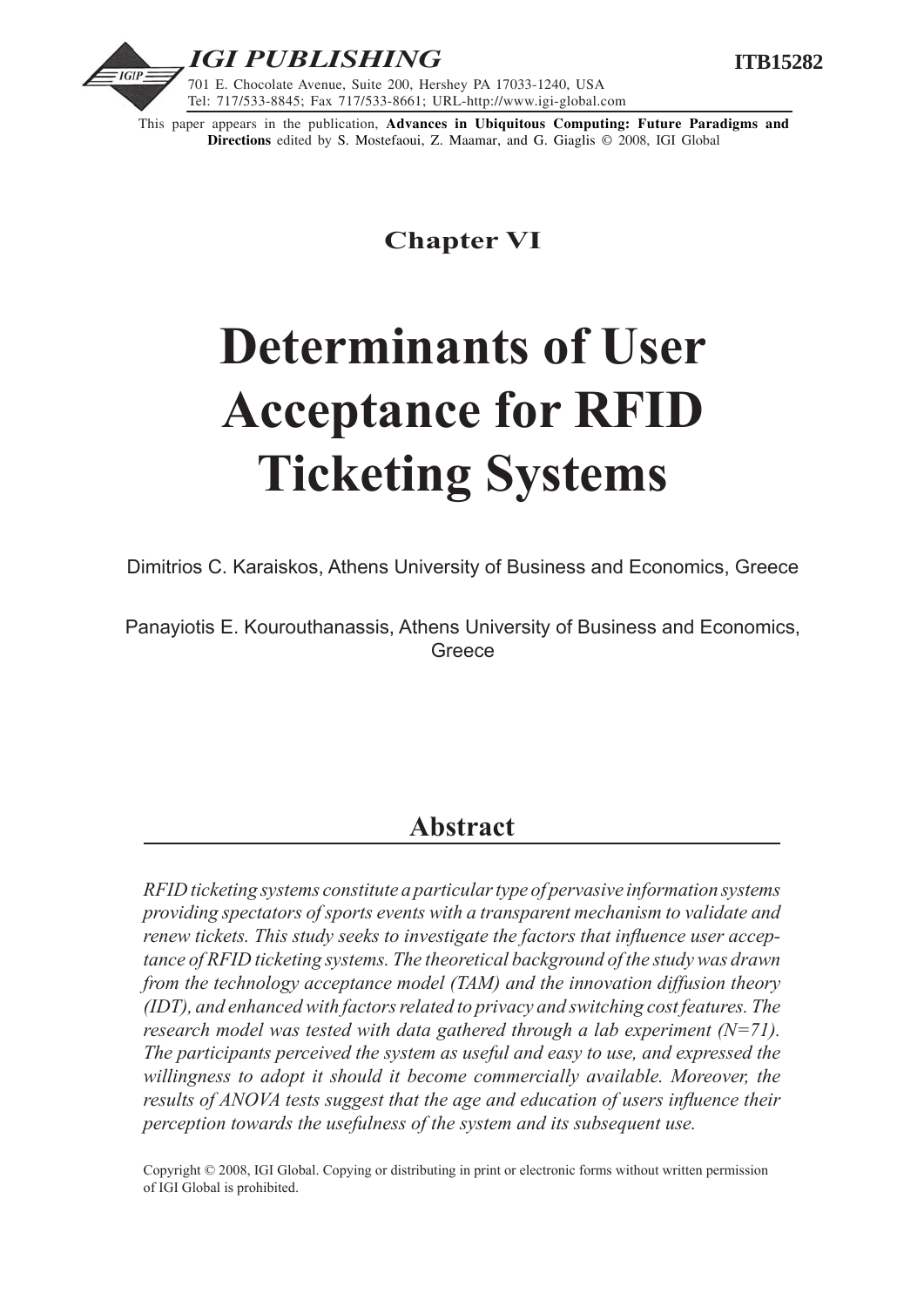

This paper appears in the publication, **Advances in Ubiquitous Computing: Future Paradigms and Directions** edited by S. Mostefaoui, Z. Maamar, and G. Giaglis © 2008, IGI Global

# **Chapter VI**

# **Determinants of User Acceptance for RFID Ticketing Systems**

Dimitrios C. Karaiskos, Athens University of Business and Economics, Greece

Panayiotis E. Kourouthanassis, Athens University of Business and Economics, **Greece** 

# **Abstract**

*RFID ticketing systems constitute a particular type of pervasive information systems providing spectators of sports events with a transparent mechanism to validate and renew tickets. This study seeks to investigate the factors that influence user acceptance of RFID ticketing systems. The theoretical background of the study was drawn from the technology acceptance model (TAM) and the innovation diffusion theory (IDT), and enhanced with factors related to privacy and switching cost features. The research model was tested with data gathered through a lab experiment (N=71). The participants perceived the system as useful and easy to use, and expressed the willingness to adopt it should it become commercially available. Moreover, the results of ANOVA tests suggest that the age and education of users influence their perception towards the usefulness of the system and its subsequent use.* 

Copyright © 2008, IGI Global. Copying or distributing in print or electronic forms without written permission of IGI Global is prohibited.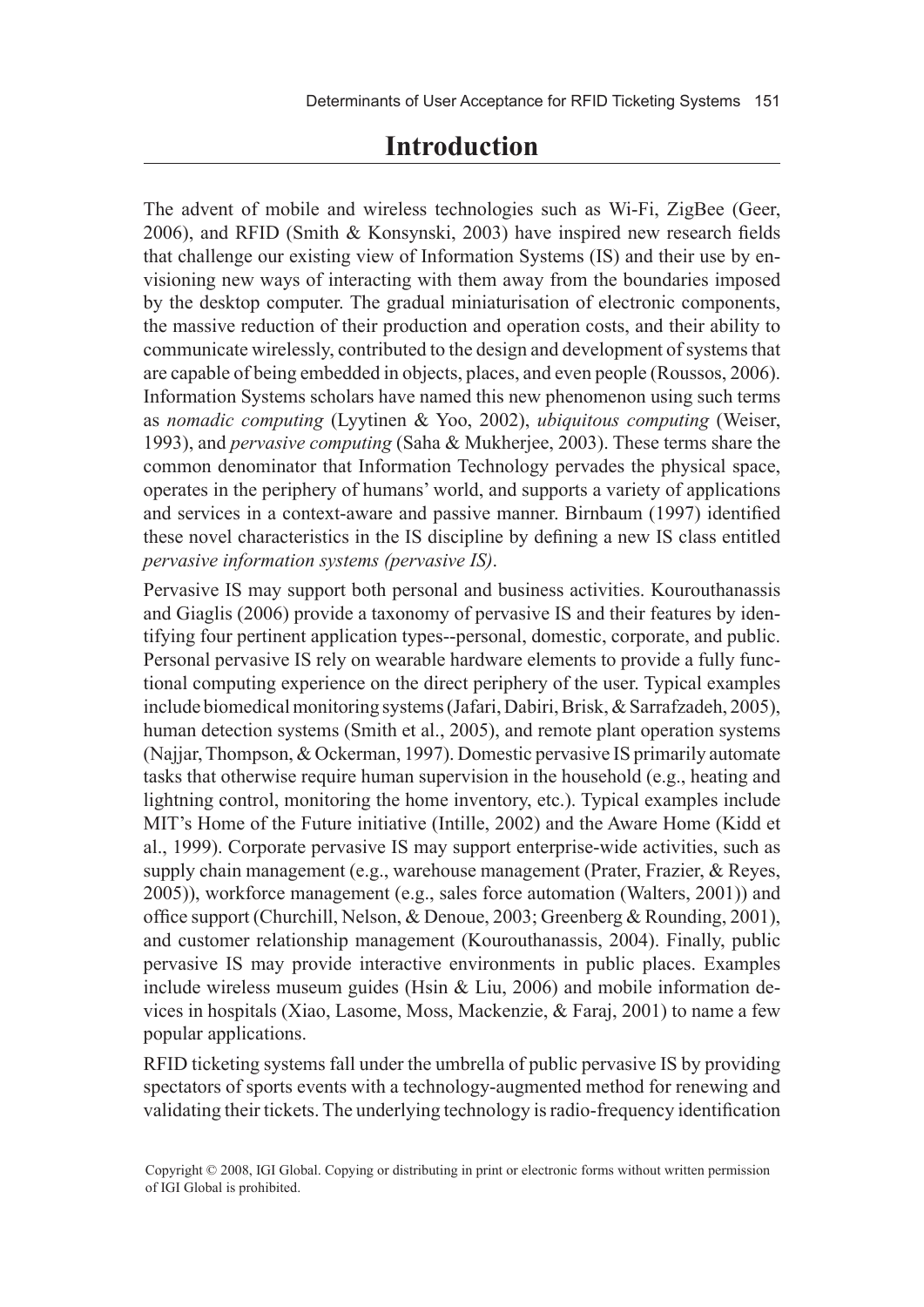# **Introduction**

The advent of mobile and wireless technologies such as Wi-Fi, ZigBee (Geer, 2006), and RFID (Smith & Konsynski, 2003) have inspired new research fields that challenge our existing view of Information Systems (IS) and their use by envisioning new ways of interacting with them away from the boundaries imposed by the desktop computer. The gradual miniaturisation of electronic components, the massive reduction of their production and operation costs, and their ability to communicate wirelessly, contributed to the design and development of systems that are capable of being embedded in objects, places, and even people (Roussos, 2006). Information Systems scholars have named this new phenomenon using such terms as *nomadic computing* (Lyytinen & Yoo, 2002), *ubiquitous computing* (Weiser, 1993), and *pervasive computing* (Saha & Mukherjee, 2003). These terms share the common denominator that Information Technology pervades the physical space, operates in the periphery of humans' world, and supports a variety of applications and services in a context-aware and passive manner. Birnbaum (1997) identified these novel characteristics in the IS discipline by defining a new IS class entitled *pervasive information systems (pervasive IS)*.

Pervasive IS may support both personal and business activities. Kourouthanassis and Giaglis (2006) provide a taxonomy of pervasive IS and their features by identifying four pertinent application types--personal, domestic, corporate, and public. Personal pervasive IS rely on wearable hardware elements to provide a fully functional computing experience on the direct periphery of the user. Typical examples include biomedical monitoring systems (Jafari, Dabiri, Brisk, & Sarrafzadeh, 2005), human detection systems (Smith et al., 2005), and remote plant operation systems (Najjar, Thompson, & Ockerman, 1997). Domestic pervasive IS primarily automate tasks that otherwise require human supervision in the household (e.g., heating and lightning control, monitoring the home inventory, etc.). Typical examples include MIT's Home of the Future initiative (Intille, 2002) and the Aware Home (Kidd et al., 1999). Corporate pervasive IS may support enterprise-wide activities, such as supply chain management (e.g., warehouse management (Prater, Frazier, & Reyes, 2005)), workforce management (e.g., sales force automation (Walters, 2001)) and office support (Churchill, Nelson, & Denoue, 2003; Greenberg & Rounding, 2001), and customer relationship management (Kourouthanassis, 2004). Finally, public pervasive IS may provide interactive environments in public places. Examples include wireless museum guides (Hsin & Liu, 2006) and mobile information devices in hospitals (Xiao, Lasome, Moss, Mackenzie, & Faraj, 2001) to name a few popular applications.

RFID ticketing systems fall under the umbrella of public pervasive IS by providing spectators of sports events with a technology-augmented method for renewing and validating their tickets. The underlying technology is radio-frequency identification

Copyright © 2008, IGI Global. Copying or distributing in print or electronic forms without written permission of IGI Global is prohibited.